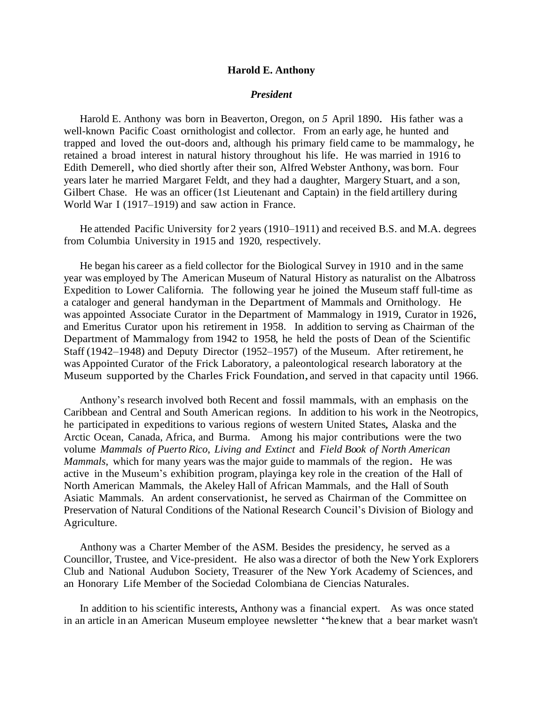## **Harold E. Anthony**

## *President*

Harold E. Anthony was born in Beaverton, Oregon, on *<sup>5</sup>* April 1890. His father was <sup>a</sup> well-known Pacific Coast ornithologist and collector. From an early age, he hunted and trapped and loved the out-doors and, although his primary field came to be mammalogy, he retained a broad interest in natural history throughout his life. He was married in 1916 to Edith Demerell, who died shortly after their son, Alfred Webster Anthony, was born. Four years later he married Margaret Feldt, and they had a daughter, Margery Stuart, and a son, Gilbert Chase. He was an officer (1st Lieutenant and Captain) in the field artillery during World War I (1917–1919) and saw action in France.

He attended Pacific University for 2 years (1910–1911) and received B.S. and M.A. degrees from Columbia University in 1915 and 1920, respectively.

He began his career as a field collector for the Biological Survey in 1910 and in the same year was employed by The American Museum of Natural History as naturalist on the Albatross Expedition to Lower California. The following year he joined the Museum staff full-time as a cataloger and general handyman in the Department of Mammals and Ornithology. He was appointed Associate Curator in the Department of Mammalogy in 1919, Curator in 1926, and Emeritus Curator upon his retirement in 1958. In addition to serving as Chairman of the Department of Mammalogy from 1942 to 1958, he held the posts of Dean of the Scientific Staff (1942–1948) and Deputy Director (1952–1957) of the Museum. After retirement, he was Appointed Curator of the Frick Laboratory, a paleontological research laboratory at the Museum supported by the Charles Frick Foundation, and served in that capacity until 1966.

Anthony's research involved both Recent and fossil mammals, with an emphasis on the Caribbean and Central and South American regions. In addition to his work in the Neotropics, he participated in expeditions to various regions of western United States, Alaska and the Arctic Ocean, Canada, Africa, and Burma. Among his major contributions were the two volume *Mammals of Puerto Rico*, *Living and Extinct* and *Field Book of North American Mammals*, which for many years was the major guide to mammals of the region. He was active in the Museum's exhibition program, playinga key role in the creation of the Hall of North American Mammals, the Akeley Hall of African Mammals, and the Hall of South Asiatic Mammals. An ardent conservationist, he served as Chairman of the Committee on Preservation of Natural Conditions of the National Research Council's Division of Biology and Agriculture.

Anthony was a Charter Member of the ASM. Besides the presidency, he served as a Councillor, Trustee, and Vice-president. He also was a director of both the New York Explorers Club and National Audubon Society, Treasurer of the New York Academy of Sciences, and an Honorary Life Member of the Sociedad Colombiana de Ciencias Naturales.

In addition to his scientific interests, Anthony was a financial expert. As was once stated in an article in an American Museum employee newsletter "he knew that <sup>a</sup> bear market wasn't